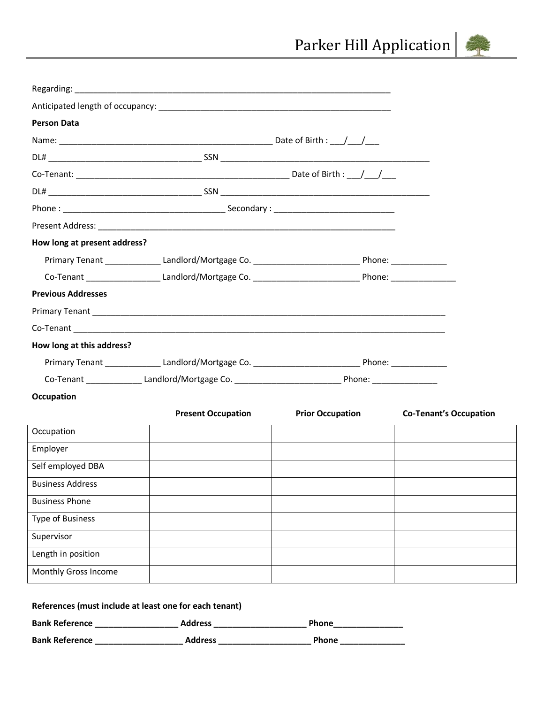

| <b>Person Data</b>           |                                                                                                               |                         |                               |
|------------------------------|---------------------------------------------------------------------------------------------------------------|-------------------------|-------------------------------|
|                              |                                                                                                               |                         |                               |
|                              |                                                                                                               |                         |                               |
|                              |                                                                                                               |                         |                               |
|                              |                                                                                                               |                         |                               |
|                              |                                                                                                               |                         |                               |
|                              |                                                                                                               |                         |                               |
| How long at present address? |                                                                                                               |                         |                               |
|                              | Primary Tenant ________________Landlord/Mortgage Co. _________________________________Phone: ________________ |                         |                               |
|                              |                                                                                                               |                         |                               |
| <b>Previous Addresses</b>    |                                                                                                               |                         |                               |
|                              |                                                                                                               |                         |                               |
|                              |                                                                                                               |                         |                               |
| How long at this address?    |                                                                                                               |                         |                               |
|                              | Primary Tenant ________________Landlord/Mortgage Co. _________________________________Phone: ________________ |                         |                               |
|                              | Co-Tenant ________________Landlord/Mortgage Co. _________________________________ Phone: ___________          |                         |                               |
| Occupation                   |                                                                                                               |                         |                               |
|                              | <b>Present Occupation</b>                                                                                     | <b>Prior Occupation</b> | <b>Co-Tenant's Occupation</b> |
| Occupation                   |                                                                                                               |                         |                               |
| Employer                     |                                                                                                               |                         |                               |
| Self employed DBA            |                                                                                                               |                         |                               |
| <b>Business Address</b>      |                                                                                                               |                         |                               |
| <b>Business Phone</b>        |                                                                                                               |                         |                               |
| <b>Type of Business</b>      |                                                                                                               |                         |                               |
| Supervisor                   |                                                                                                               |                         |                               |
| Length in position           |                                                                                                               |                         |                               |
| Monthly Gross Income         |                                                                                                               |                         |                               |
|                              | <b>Poforoncos (must include at least one for each tenant)</b>                                                 |                         |                               |

| References (must include at least one for each tenant) |                |              |  |
|--------------------------------------------------------|----------------|--------------|--|
| <b>Bank Reference</b>                                  | <b>Address</b> | <b>Phone</b> |  |
| <b>Bank Reference</b>                                  | <b>Address</b> | <b>Phone</b> |  |